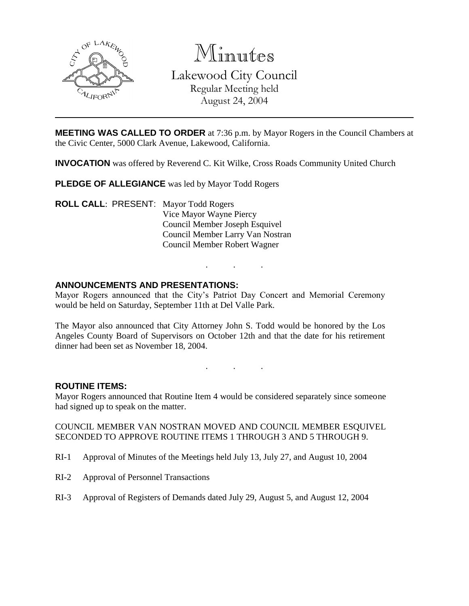

Minutes Lakewood City Council Regular Meeting held August 24, 2004

**MEETING WAS CALLED TO ORDER** at 7:36 p.m. by Mayor Rogers in the Council Chambers at the Civic Center, 5000 Clark Avenue, Lakewood, California.

**INVOCATION** was offered by Reverend C. Kit Wilke, Cross Roads Community United Church

**PLEDGE OF ALLEGIANCE** was led by Mayor Todd Rogers

**ROLL CALL**: PRESENT: Mayor Todd Rogers Vice Mayor Wayne Piercy Council Member Joseph Esquivel Council Member Larry Van Nostran Council Member Robert Wagner

#### **ANNOUNCEMENTS AND PRESENTATIONS:**

Mayor Rogers announced that the City's Patriot Day Concert and Memorial Ceremony would be held on Saturday, September 11th at Del Valle Park.

. . .

The Mayor also announced that City Attorney John S. Todd would be honored by the Los Angeles County Board of Supervisors on October 12th and that the date for his retirement dinner had been set as November 18, 2004.

. . .

#### **ROUTINE ITEMS:**

Mayor Rogers announced that Routine Item 4 would be considered separately since someone had signed up to speak on the matter.

COUNCIL MEMBER VAN NOSTRAN MOVED AND COUNCIL MEMBER ESQUIVEL SECONDED TO APPROVE ROUTINE ITEMS 1 THROUGH 3 AND 5 THROUGH 9.

- RI-1 Approval of Minutes of the Meetings held July 13, July 27, and August 10, 2004
- RI-2 Approval of Personnel Transactions
- RI-3 Approval of Registers of Demands dated July 29, August 5, and August 12, 2004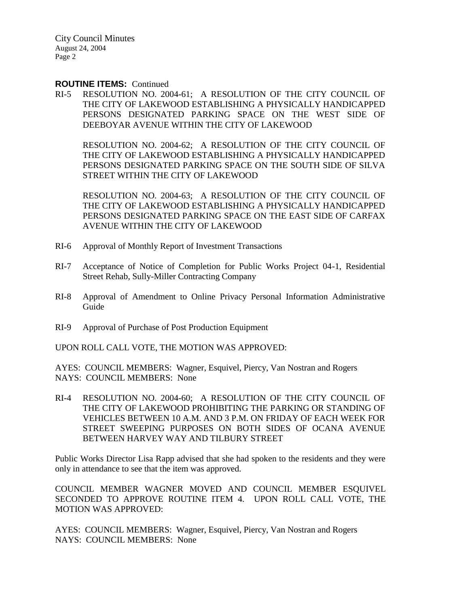City Council Minutes August 24, 2004 Page 2

#### **ROUTINE ITEMS:** Continued

RI-5 RESOLUTION NO. 2004-61; A RESOLUTION OF THE CITY COUNCIL OF THE CITY OF LAKEWOOD ESTABLISHING A PHYSICALLY HANDICAPPED PERSONS DESIGNATED PARKING SPACE ON THE WEST SIDE OF DEEBOYAR AVENUE WITHIN THE CITY OF LAKEWOOD

RESOLUTION NO. 2004-62; A RESOLUTION OF THE CITY COUNCIL OF THE CITY OF LAKEWOOD ESTABLISHING A PHYSICALLY HANDICAPPED PERSONS DESIGNATED PARKING SPACE ON THE SOUTH SIDE OF SILVA STREET WITHIN THE CITY OF LAKEWOOD

RESOLUTION NO. 2004-63; A RESOLUTION OF THE CITY COUNCIL OF THE CITY OF LAKEWOOD ESTABLISHING A PHYSICALLY HANDICAPPED PERSONS DESIGNATED PARKING SPACE ON THE EAST SIDE OF CARFAX AVENUE WITHIN THE CITY OF LAKEWOOD

- RI-6 Approval of Monthly Report of Investment Transactions
- RI-7 Acceptance of Notice of Completion for Public Works Project 04-1, Residential Street Rehab, Sully-Miller Contracting Company
- RI-8 Approval of Amendment to Online Privacy Personal Information Administrative Guide
- RI-9 Approval of Purchase of Post Production Equipment

UPON ROLL CALL VOTE, THE MOTION WAS APPROVED:

AYES: COUNCIL MEMBERS: Wagner, Esquivel, Piercy, Van Nostran and Rogers NAYS: COUNCIL MEMBERS: None

RI-4 RESOLUTION NO. 2004-60; A RESOLUTION OF THE CITY COUNCIL OF THE CITY OF LAKEWOOD PROHIBITING THE PARKING OR STANDING OF VEHICLES BETWEEN 10 A.M. AND 3 P.M. ON FRIDAY OF EACH WEEK FOR STREET SWEEPING PURPOSES ON BOTH SIDES OF OCANA AVENUE BETWEEN HARVEY WAY AND TILBURY STREET

Public Works Director Lisa Rapp advised that she had spoken to the residents and they were only in attendance to see that the item was approved.

COUNCIL MEMBER WAGNER MOVED AND COUNCIL MEMBER ESQUIVEL SECONDED TO APPROVE ROUTINE ITEM 4. UPON ROLL CALL VOTE, THE MOTION WAS APPROVED:

AYES: COUNCIL MEMBERS: Wagner, Esquivel, Piercy, Van Nostran and Rogers NAYS: COUNCIL MEMBERS: None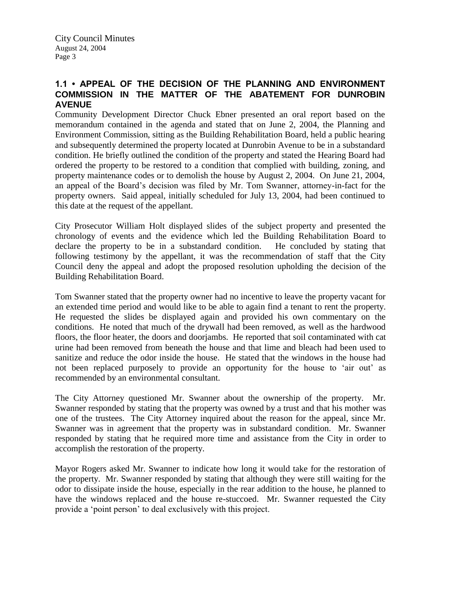### **1.1 • APPEAL OF THE DECISION OF THE PLANNING AND ENVIRONMENT COMMISSION IN THE MATTER OF THE ABATEMENT FOR DUNROBIN AVENUE**

Community Development Director Chuck Ebner presented an oral report based on the memorandum contained in the agenda and stated that on June 2, 2004, the Planning and Environment Commission, sitting as the Building Rehabilitation Board, held a public hearing and subsequently determined the property located at Dunrobin Avenue to be in a substandard condition. He briefly outlined the condition of the property and stated the Hearing Board had ordered the property to be restored to a condition that complied with building, zoning, and property maintenance codes or to demolish the house by August 2, 2004. On June 21, 2004, an appeal of the Board's decision was filed by Mr. Tom Swanner, attorney-in-fact for the property owners. Said appeal, initially scheduled for July 13, 2004, had been continued to this date at the request of the appellant.

City Prosecutor William Holt displayed slides of the subject property and presented the chronology of events and the evidence which led the Building Rehabilitation Board to declare the property to be in a substandard condition. He concluded by stating that following testimony by the appellant, it was the recommendation of staff that the City Council deny the appeal and adopt the proposed resolution upholding the decision of the Building Rehabilitation Board.

Tom Swanner stated that the property owner had no incentive to leave the property vacant for an extended time period and would like to be able to again find a tenant to rent the property. He requested the slides be displayed again and provided his own commentary on the conditions. He noted that much of the drywall had been removed, as well as the hardwood floors, the floor heater, the doors and doorjambs. He reported that soil contaminated with cat urine had been removed from beneath the house and that lime and bleach had been used to sanitize and reduce the odor inside the house. He stated that the windows in the house had not been replaced purposely to provide an opportunity for the house to 'air out' as recommended by an environmental consultant.

The City Attorney questioned Mr. Swanner about the ownership of the property. Mr. Swanner responded by stating that the property was owned by a trust and that his mother was one of the trustees. The City Attorney inquired about the reason for the appeal, since Mr. Swanner was in agreement that the property was in substandard condition. Mr. Swanner responded by stating that he required more time and assistance from the City in order to accomplish the restoration of the property.

Mayor Rogers asked Mr. Swanner to indicate how long it would take for the restoration of the property. Mr. Swanner responded by stating that although they were still waiting for the odor to dissipate inside the house, especially in the rear addition to the house, he planned to have the windows replaced and the house re-stuccoed. Mr. Swanner requested the City provide a 'point person' to deal exclusively with this project.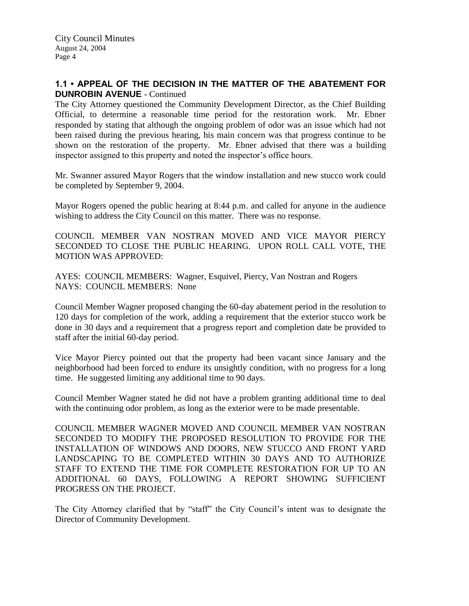### **1.1 • APPEAL OF THE DECISION IN THE MATTER OF THE ABATEMENT FOR DUNROBIN AVENUE** - Continued

The City Attorney questioned the Community Development Director, as the Chief Building Official, to determine a reasonable time period for the restoration work. Mr. Ebner responded by stating that although the ongoing problem of odor was an issue which had not been raised during the previous hearing, his main concern was that progress continue to be shown on the restoration of the property. Mr. Ebner advised that there was a building inspector assigned to this property and noted the inspector's office hours.

Mr. Swanner assured Mayor Rogers that the window installation and new stucco work could be completed by September 9, 2004.

Mayor Rogers opened the public hearing at 8:44 p.m. and called for anyone in the audience wishing to address the City Council on this matter. There was no response.

COUNCIL MEMBER VAN NOSTRAN MOVED AND VICE MAYOR PIERCY SECONDED TO CLOSE THE PUBLIC HEARING. UPON ROLL CALL VOTE, THE MOTION WAS APPROVED:

AYES: COUNCIL MEMBERS: Wagner, Esquivel, Piercy, Van Nostran and Rogers NAYS: COUNCIL MEMBERS: None

Council Member Wagner proposed changing the 60-day abatement period in the resolution to 120 days for completion of the work, adding a requirement that the exterior stucco work be done in 30 days and a requirement that a progress report and completion date be provided to staff after the initial 60-day period.

Vice Mayor Piercy pointed out that the property had been vacant since January and the neighborhood had been forced to endure its unsightly condition, with no progress for a long time. He suggested limiting any additional time to 90 days.

Council Member Wagner stated he did not have a problem granting additional time to deal with the continuing odor problem, as long as the exterior were to be made presentable.

COUNCIL MEMBER WAGNER MOVED AND COUNCIL MEMBER VAN NOSTRAN SECONDED TO MODIFY THE PROPOSED RESOLUTION TO PROVIDE FOR THE INSTALLATION OF WINDOWS AND DOORS, NEW STUCCO AND FRONT YARD LANDSCAPING TO BE COMPLETED WITHIN 30 DAYS AND TO AUTHORIZE STAFF TO EXTEND THE TIME FOR COMPLETE RESTORATION FOR UP TO AN ADDITIONAL 60 DAYS, FOLLOWING A REPORT SHOWING SUFFICIENT PROGRESS ON THE PROJECT.

The City Attorney clarified that by "staff" the City Council's intent was to designate the Director of Community Development.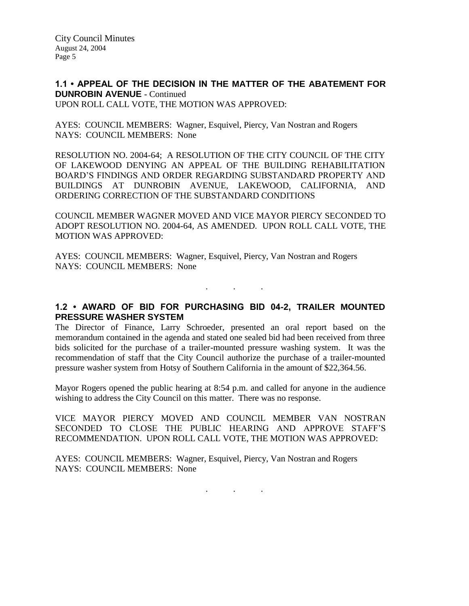City Council Minutes August 24, 2004 Page 5

**1.1 • APPEAL OF THE DECISION IN THE MATTER OF THE ABATEMENT FOR DUNROBIN AVENUE** - Continued UPON ROLL CALL VOTE, THE MOTION WAS APPROVED:

AYES: COUNCIL MEMBERS: Wagner, Esquivel, Piercy, Van Nostran and Rogers NAYS: COUNCIL MEMBERS: None

RESOLUTION NO. 2004-64; A RESOLUTION OF THE CITY COUNCIL OF THE CITY OF LAKEWOOD DENYING AN APPEAL OF THE BUILDING REHABILITATION BOARD'S FINDINGS AND ORDER REGARDING SUBSTANDARD PROPERTY AND BUILDINGS AT DUNROBIN AVENUE, LAKEWOOD, CALIFORNIA, AND ORDERING CORRECTION OF THE SUBSTANDARD CONDITIONS

COUNCIL MEMBER WAGNER MOVED AND VICE MAYOR PIERCY SECONDED TO ADOPT RESOLUTION NO. 2004-64, AS AMENDED. UPON ROLL CALL VOTE, THE MOTION WAS APPROVED:

AYES: COUNCIL MEMBERS: Wagner, Esquivel, Piercy, Van Nostran and Rogers NAYS: COUNCIL MEMBERS: None

**1.2 • AWARD OF BID FOR PURCHASING BID 04-2, TRAILER MOUNTED PRESSURE WASHER SYSTEM**

. . .

The Director of Finance, Larry Schroeder, presented an oral report based on the memorandum contained in the agenda and stated one sealed bid had been received from three bids solicited for the purchase of a trailer-mounted pressure washing system. It was the recommendation of staff that the City Council authorize the purchase of a trailer-mounted pressure washer system from Hotsy of Southern California in the amount of \$22,364.56.

Mayor Rogers opened the public hearing at 8:54 p.m. and called for anyone in the audience wishing to address the City Council on this matter. There was no response.

VICE MAYOR PIERCY MOVED AND COUNCIL MEMBER VAN NOSTRAN SECONDED TO CLOSE THE PUBLIC HEARING AND APPROVE STAFF'S RECOMMENDATION. UPON ROLL CALL VOTE, THE MOTION WAS APPROVED:

AYES: COUNCIL MEMBERS: Wagner, Esquivel, Piercy, Van Nostran and Rogers NAYS: COUNCIL MEMBERS: None

. . .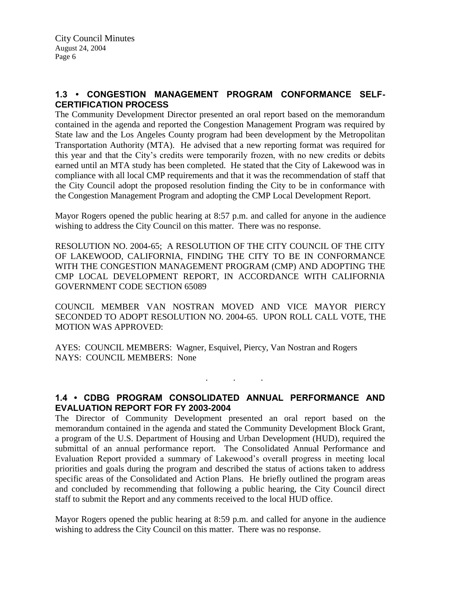### **1.3 • CONGESTION MANAGEMENT PROGRAM CONFORMANCE SELF-CERTIFICATION PROCESS**

The Community Development Director presented an oral report based on the memorandum contained in the agenda and reported the Congestion Management Program was required by State law and the Los Angeles County program had been development by the Metropolitan Transportation Authority (MTA). He advised that a new reporting format was required for this year and that the City's credits were temporarily frozen, with no new credits or debits earned until an MTA study has been completed. He stated that the City of Lakewood was in compliance with all local CMP requirements and that it was the recommendation of staff that the City Council adopt the proposed resolution finding the City to be in conformance with the Congestion Management Program and adopting the CMP Local Development Report.

Mayor Rogers opened the public hearing at 8:57 p.m. and called for anyone in the audience wishing to address the City Council on this matter. There was no response.

RESOLUTION NO. 2004-65; A RESOLUTION OF THE CITY COUNCIL OF THE CITY OF LAKEWOOD, CALIFORNIA, FINDING THE CITY TO BE IN CONFORMANCE WITH THE CONGESTION MANAGEMENT PROGRAM (CMP) AND ADOPTING THE CMP LOCAL DEVELOPMENT REPORT, IN ACCORDANCE WITH CALIFORNIA GOVERNMENT CODE SECTION 65089

COUNCIL MEMBER VAN NOSTRAN MOVED AND VICE MAYOR PIERCY SECONDED TO ADOPT RESOLUTION NO. 2004-65. UPON ROLL CALL VOTE, THE MOTION WAS APPROVED:

AYES: COUNCIL MEMBERS: Wagner, Esquivel, Piercy, Van Nostran and Rogers NAYS: COUNCIL MEMBERS: None

### **1.4 • CDBG PROGRAM CONSOLIDATED ANNUAL PERFORMANCE AND EVALUATION REPORT FOR FY 2003-2004**

. . .

The Director of Community Development presented an oral report based on the memorandum contained in the agenda and stated the Community Development Block Grant, a program of the U.S. Department of Housing and Urban Development (HUD), required the submittal of an annual performance report. The Consolidated Annual Performance and Evaluation Report provided a summary of Lakewood's overall progress in meeting local priorities and goals during the program and described the status of actions taken to address specific areas of the Consolidated and Action Plans. He briefly outlined the program areas and concluded by recommending that following a public hearing, the City Council direct staff to submit the Report and any comments received to the local HUD office.

Mayor Rogers opened the public hearing at 8:59 p.m. and called for anyone in the audience wishing to address the City Council on this matter. There was no response.